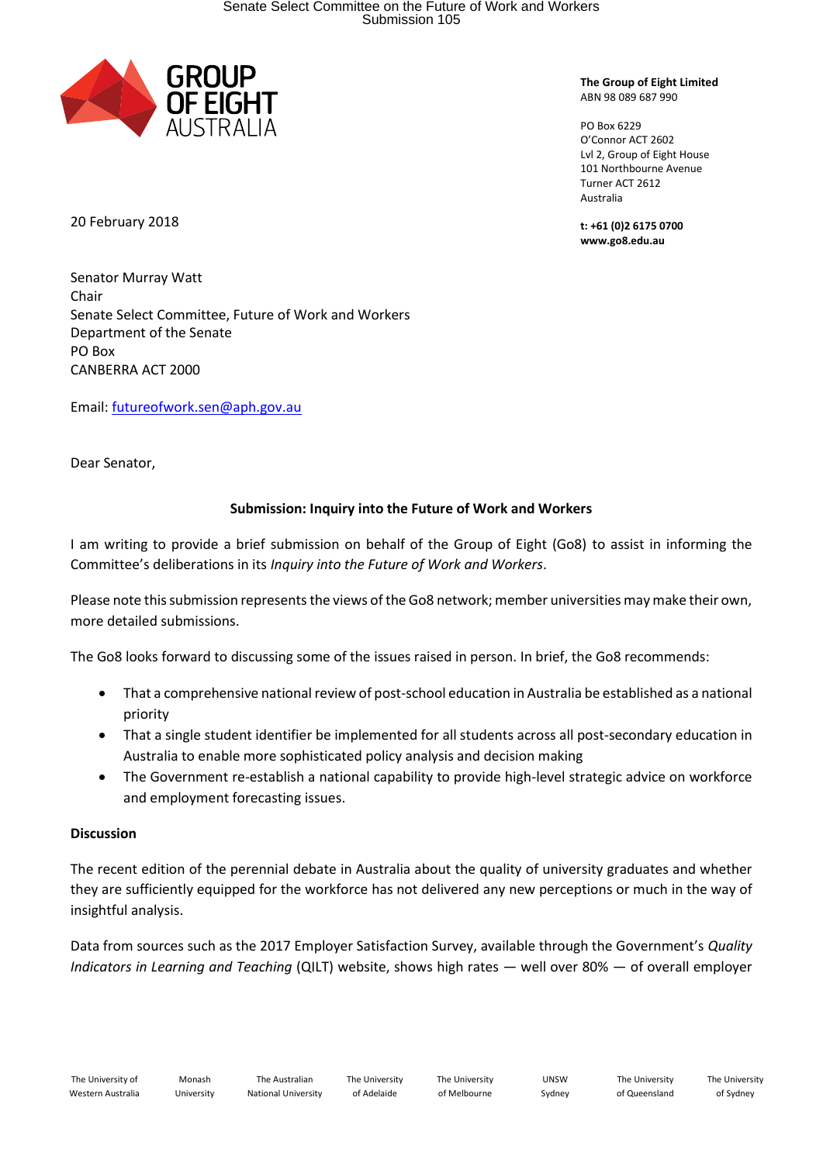

**The Group of Eight Limited** ABN 98 089 687 990

PO Box 6229 O'Connor ACT 2602 Lvl 2, Group of Eight House 101 Northbourne Avenue Turner ACT 2612 Australia

**t: +61 (0)2 6175 0700 www.go8.edu.au**

20 February 2018

Senator Murray Watt Chair Senate Select Committee, Future of Work and Workers Department of the Senate PO Box CANBERRA ACT 2000

Email: [futureofwork.sen@aph.gov.au](mailto:futureofwork.sen@aph.gov.au)

Dear Senator,

# **Submission: Inquiry into the Future of Work and Workers**

I am writing to provide a brief submission on behalf of the Group of Eight (Go8) to assist in informing the Committee's deliberations in its *Inquiry into the Future of Work and Workers*.

Please note this submission represents the views of the Go8 network; member universities may make their own, more detailed submissions.

The Go8 looks forward to discussing some of the issues raised in person. In brief, the Go8 recommends:

- That a comprehensive national review of post-school education in Australia be established as a national priority
- That a single student identifier be implemented for all students across all post-secondary education in Australia to enable more sophisticated policy analysis and decision making
- The Government re-establish a national capability to provide high-level strategic advice on workforce and employment forecasting issues.

## **Discussion**

The recent edition of the perennial debate in Australia about the quality of university graduates and whether they are sufficiently equipped for the workforce has not delivered any new perceptions or much in the way of insightful analysis.

Data from sources such as the 2017 Employer Satisfaction Survey, available through the Government's *Quality Indicators in Learning and Teaching* (QILT) website, shows high rates — well over 80% — of overall employer

The University of Adelaide

The University of Melbourne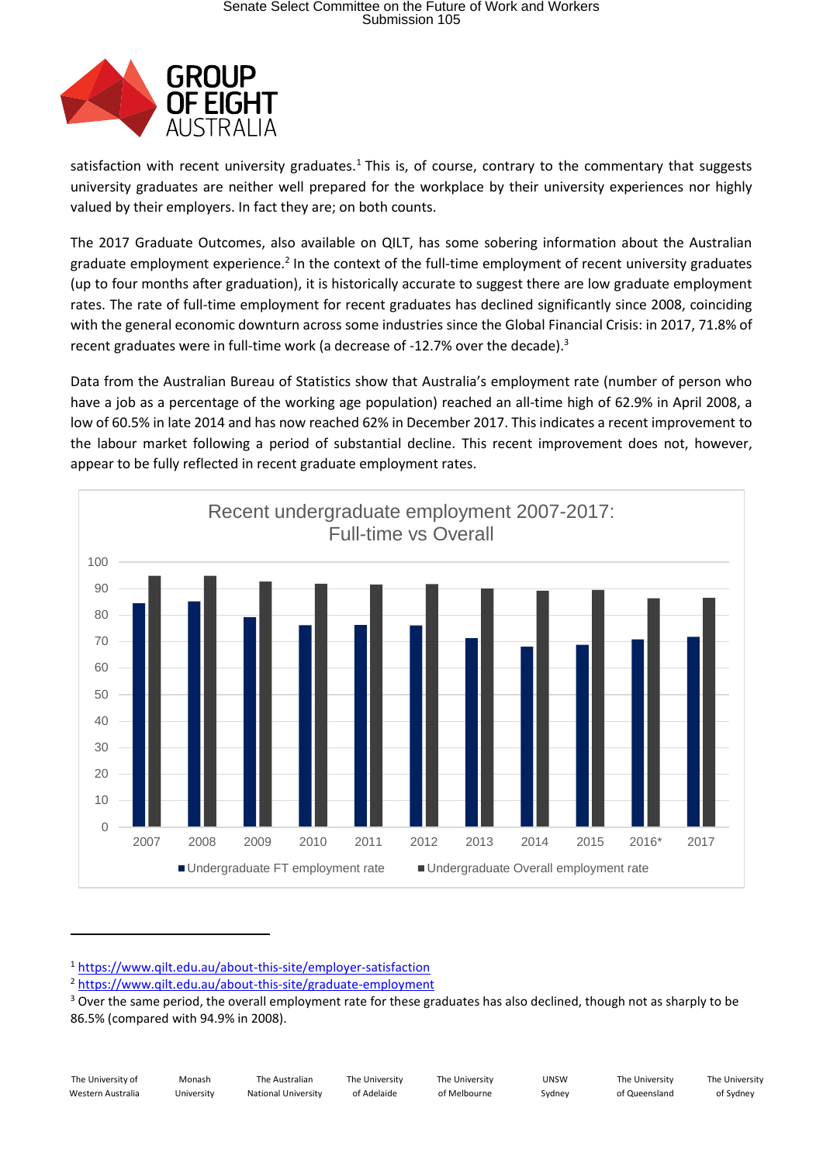

satisfaction with recent university graduates.<sup>1</sup> This is, of course, contrary to the commentary that suggests university graduates are neither well prepared for the workplace by their university experiences nor highly valued by their employers. In fact they are; on both counts.

The 2017 Graduate Outcomes, also available on QILT, has some sobering information about the Australian graduate employment experience.<sup>2</sup> In the context of the full-time employment of recent university graduates (up to four months after graduation), it is historically accurate to suggest there are low graduate employment rates. The rate of full-time employment for recent graduates has declined significantly since 2008, coinciding with the general economic downturn across some industries since the Global Financial Crisis: in 2017, 71.8% of recent graduates were in full-time work (a decrease of -12.7% over the decade).<sup>3</sup>

Data from the Australian Bureau of Statistics show that Australia's employment rate (number of person who have a job as a percentage of the working age population) reached an all-time high of 62.9% in April 2008, a low of 60.5% in late 2014 and has now reached 62% in December 2017. This indicates a recent improvement to the labour market following a period of substantial decline. This recent improvement does not, however, appear to be fully reflected in recent graduate employment rates.



<sup>1</sup> <https://www.qilt.edu.au/about-this-site/employer-satisfaction>

The University of Western Australia

**.** 

Monash University

The Australian National University

The University of Adelaide

The University of Melbourne

UNSW Sydney

The University of Sydney

<sup>&</sup>lt;sup>2</sup> <https://www.qilt.edu.au/about-this-site/graduate-employment>

<sup>&</sup>lt;sup>3</sup> Over the same period, the overall employment rate for these graduates has also declined, though not as sharply to be 86.5% (compared with 94.9% in 2008).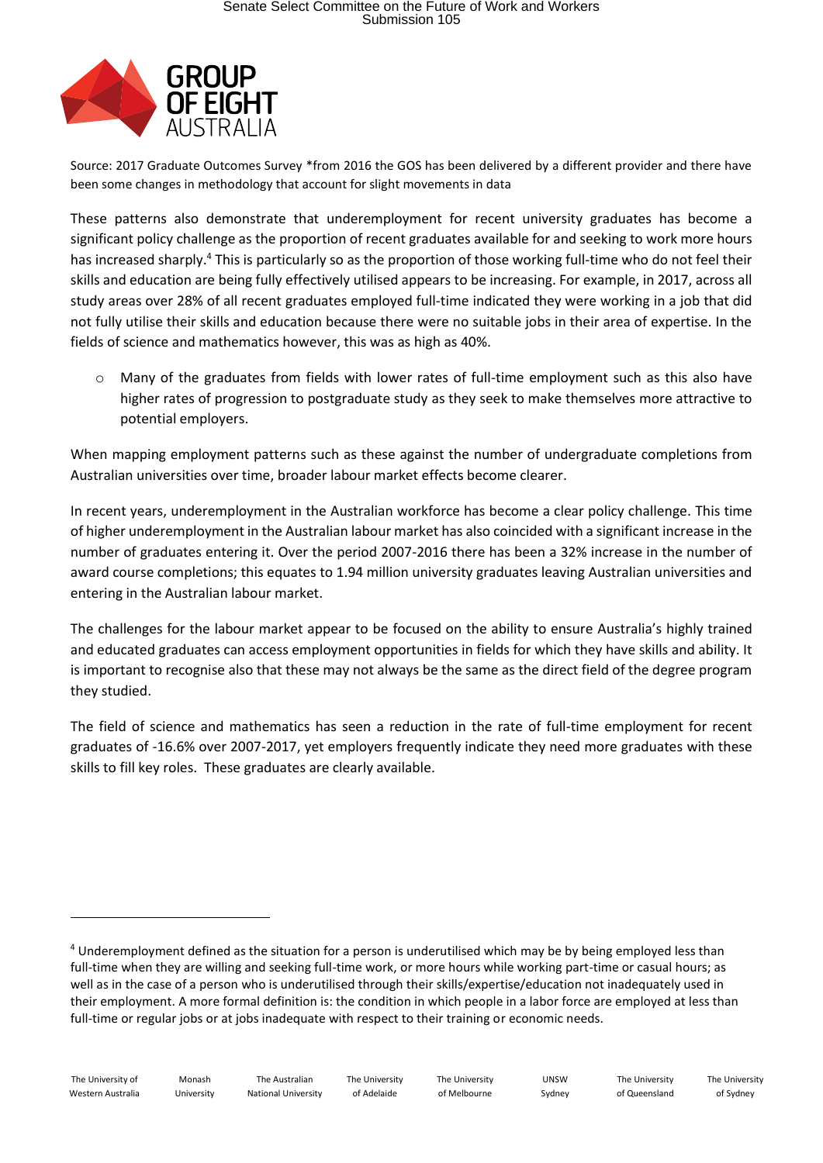

Source: 2017 Graduate Outcomes Survey \*from 2016 the GOS has been delivered by a different provider and there have been some changes in methodology that account for slight movements in data

These patterns also demonstrate that underemployment for recent university graduates has become a significant policy challenge as the proportion of recent graduates available for and seeking to work more hours has increased sharply.<sup>4</sup> This is particularly so as the proportion of those working full-time who do not feel their skills and education are being fully effectively utilised appears to be increasing. For example, in 2017, across all study areas over 28% of all recent graduates employed full-time indicated they were working in a job that did not fully utilise their skills and education because there were no suitable jobs in their area of expertise. In the fields of science and mathematics however, this was as high as 40%.

o Many of the graduates from fields with lower rates of full-time employment such as this also have higher rates of progression to postgraduate study as they seek to make themselves more attractive to potential employers.

When mapping employment patterns such as these against the number of undergraduate completions from Australian universities over time, broader labour market effects become clearer.

In recent years, underemployment in the Australian workforce has become a clear policy challenge. This time of higher underemployment in the Australian labour market has also coincided with a significant increase in the number of graduates entering it. Over the period 2007-2016 there has been a 32% increase in the number of award course completions; this equates to 1.94 million university graduates leaving Australian universities and entering in the Australian labour market.

The challenges for the labour market appear to be focused on the ability to ensure Australia's highly trained and educated graduates can access employment opportunities in fields for which they have skills and ability. It is important to recognise also that these may not always be the same as the direct field of the degree program they studied.

The field of science and mathematics has seen a reduction in the rate of full-time employment for recent graduates of -16.6% over 2007-2017, yet employers frequently indicate they need more graduates with these skills to fill key roles. These graduates are clearly available.

The University of Western Australia

**.** 

<sup>4</sup> Underemployment defined as the situation for a person is underutilised which may be by being employed less than full-time when they are willing and seeking full-time work, or more hours while working part-time or casual hours; as well as in the case of a person who is underutilised through their skills/expertise/education not inadequately used in their employment. A more formal definition is: the condition in which people in a labor force are employed at less than full-time or regular jobs or at jobs inadequate with respect to their training or economic needs.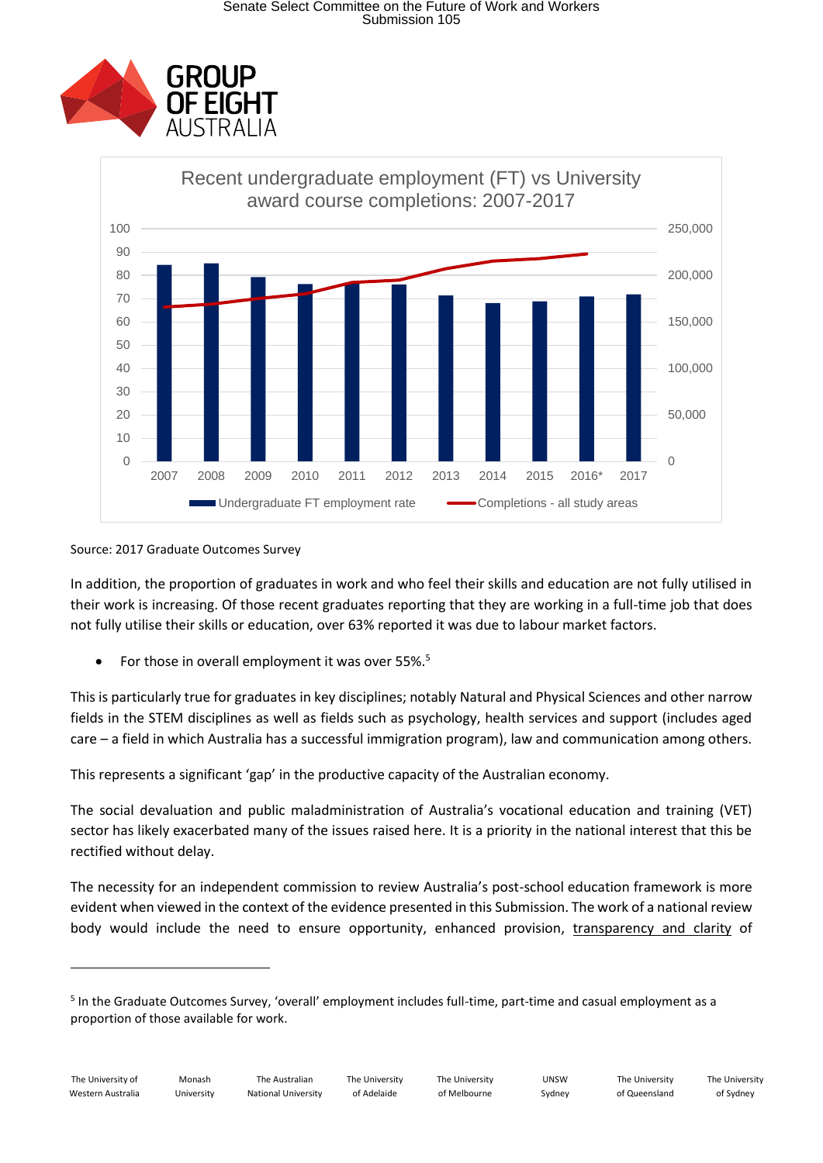



#### Source: 2017 Graduate Outcomes Survey

In addition, the proportion of graduates in work and who feel their skills and education are not fully utilised in their work is increasing. Of those recent graduates reporting that they are working in a full-time job that does not fully utilise their skills or education, over 63% reported it was due to labour market factors.

For those in overall employment it was over 55%.<sup>5</sup>

This is particularly true for graduates in key disciplines; notably Natural and Physical Sciences and other narrow fields in the STEM disciplines as well as fields such as psychology, health services and support (includes aged care – a field in which Australia has a successful immigration program), law and communication among others.

This represents a significant 'gap' in the productive capacity of the Australian economy.

The social devaluation and public maladministration of Australia's vocational education and training (VET) sector has likely exacerbated many of the issues raised here. It is a priority in the national interest that this be rectified without delay.

The necessity for an independent commission to review Australia's post-school education framework is more evident when viewed in the context of the evidence presented in this Submission. The work of a national review body would include the need to ensure opportunity, enhanced provision, transparency and clarity of

1

<sup>&</sup>lt;sup>5</sup> In the Graduate Outcomes Survey, 'overall' employment includes full-time, part-time and casual employment as a proportion of those available for work.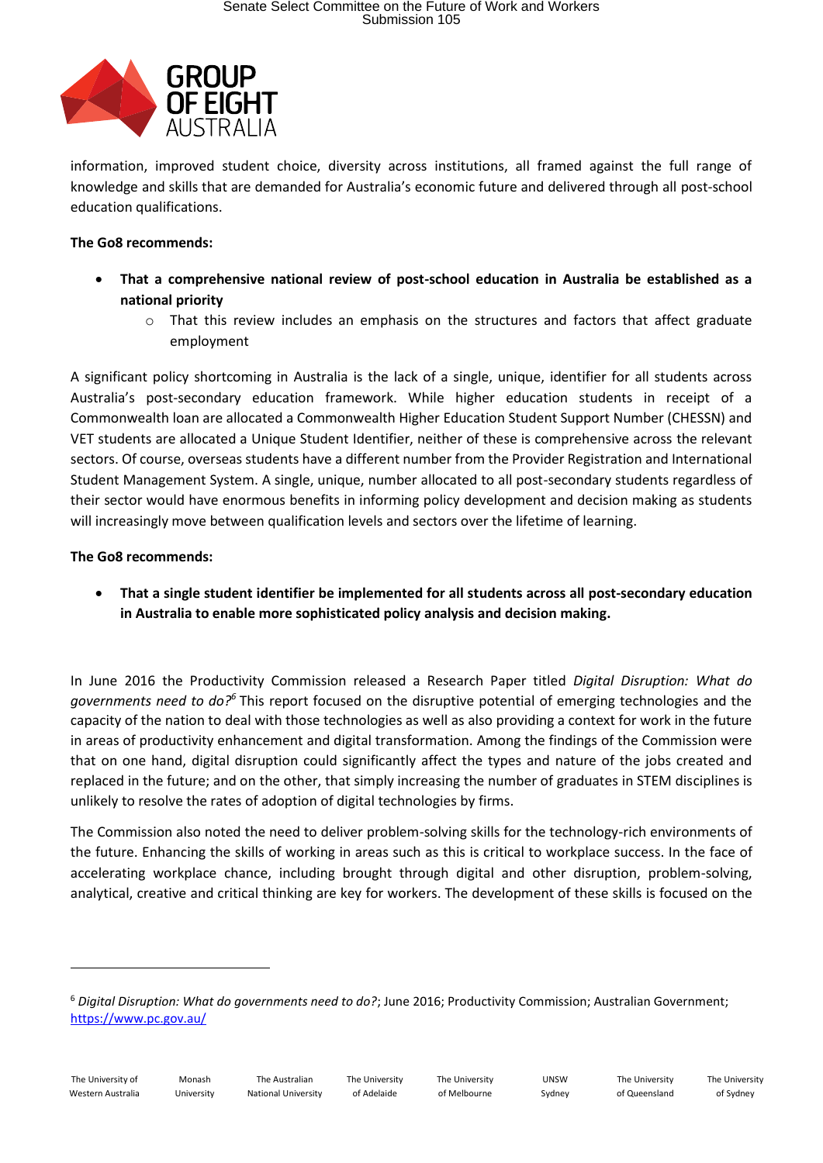

information, improved student choice, diversity across institutions, all framed against the full range of knowledge and skills that are demanded for Australia's economic future and delivered through all post-school education qualifications.

## **The Go8 recommends:**

- **That a comprehensive national review of post-school education in Australia be established as a national priority** 
	- $\circ$  That this review includes an emphasis on the structures and factors that affect graduate employment

A significant policy shortcoming in Australia is the lack of a single, unique, identifier for all students across Australia's post-secondary education framework. While higher education students in receipt of a Commonwealth loan are allocated a Commonwealth Higher Education Student Support Number (CHESSN) and VET students are allocated a Unique Student Identifier, neither of these is comprehensive across the relevant sectors. Of course, overseas students have a different number from the Provider Registration and International Student Management System. A single, unique, number allocated to all post-secondary students regardless of their sector would have enormous benefits in informing policy development and decision making as students will increasingly move between qualification levels and sectors over the lifetime of learning.

#### **The Go8 recommends:**

• **That a single student identifier be implemented for all students across all post-secondary education in Australia to enable more sophisticated policy analysis and decision making.**

In June 2016 the Productivity Commission released a Research Paper titled *Digital Disruption: What do governments need to do?<sup>6</sup>* This report focused on the disruptive potential of emerging technologies and the capacity of the nation to deal with those technologies as well as also providing a context for work in the future in areas of productivity enhancement and digital transformation. Among the findings of the Commission were that on one hand, digital disruption could significantly affect the types and nature of the jobs created and replaced in the future; and on the other, that simply increasing the number of graduates in STEM disciplines is unlikely to resolve the rates of adoption of digital technologies by firms.

The Commission also noted the need to deliver problem-solving skills for the technology-rich environments of the future. Enhancing the skills of working in areas such as this is critical to workplace success. In the face of accelerating workplace chance, including brought through digital and other disruption, problem-solving, analytical, creative and critical thinking are key for workers. The development of these skills is focused on the

1

<sup>6</sup> *Digital Disruption: What do governments need to do?*; June 2016; Productivity Commission; Australian Government; <https://www.pc.gov.au/>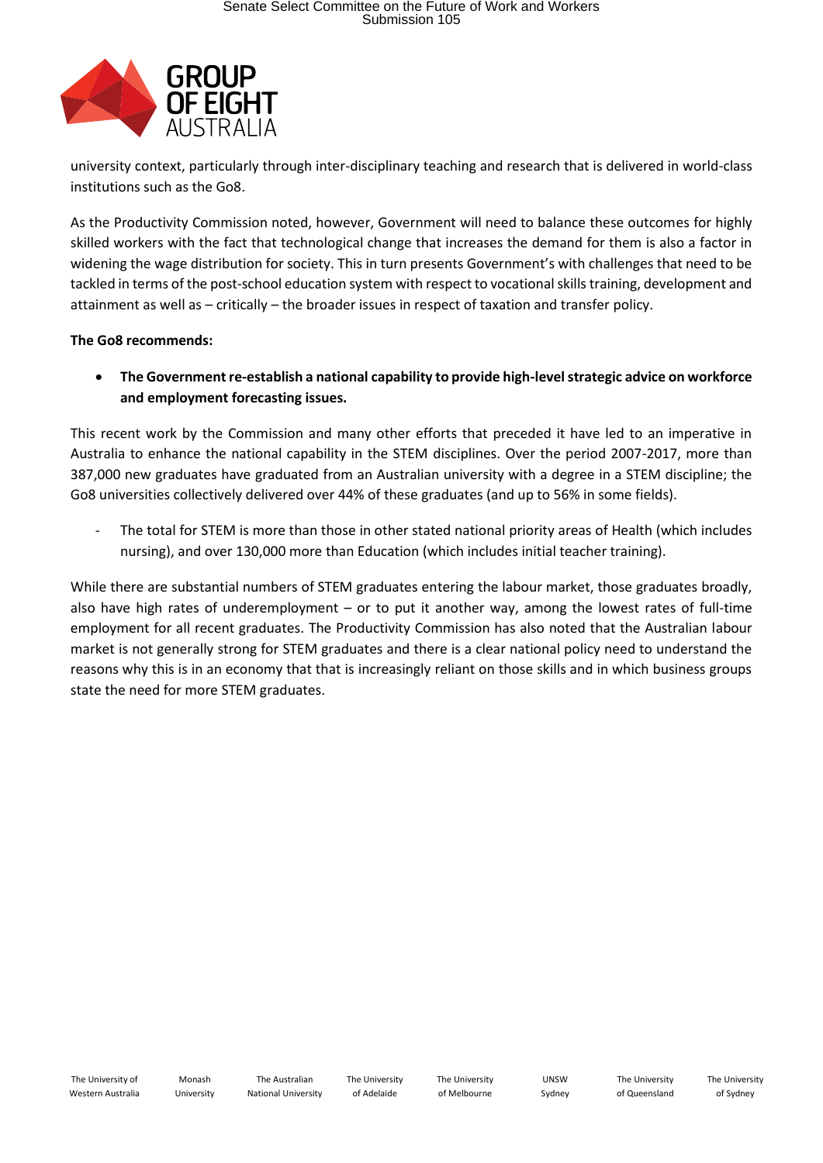

university context, particularly through inter-disciplinary teaching and research that is delivered in world-class institutions such as the Go8.

As the Productivity Commission noted, however, Government will need to balance these outcomes for highly skilled workers with the fact that technological change that increases the demand for them is also a factor in widening the wage distribution for society. This in turn presents Government's with challenges that need to be tackled in terms of the post-school education system with respect to vocational skills training, development and attainment as well as – critically – the broader issues in respect of taxation and transfer policy.

## **The Go8 recommends:**

• **The Government re-establish a national capability to provide high-level strategic advice on workforce and employment forecasting issues.**

This recent work by the Commission and many other efforts that preceded it have led to an imperative in Australia to enhance the national capability in the STEM disciplines. Over the period 2007-2017, more than 387,000 new graduates have graduated from an Australian university with a degree in a STEM discipline; the Go8 universities collectively delivered over 44% of these graduates (and up to 56% in some fields).

The total for STEM is more than those in other stated national priority areas of Health (which includes nursing), and over 130,000 more than Education (which includes initial teacher training).

While there are substantial numbers of STEM graduates entering the labour market, those graduates broadly, also have high rates of underemployment – or to put it another way, among the lowest rates of full-time employment for all recent graduates. The Productivity Commission has also noted that the Australian labour market is not generally strong for STEM graduates and there is a clear national policy need to understand the reasons why this is in an economy that that is increasingly reliant on those skills and in which business groups state the need for more STEM graduates.

The University of Adelaide

UNSW Sydney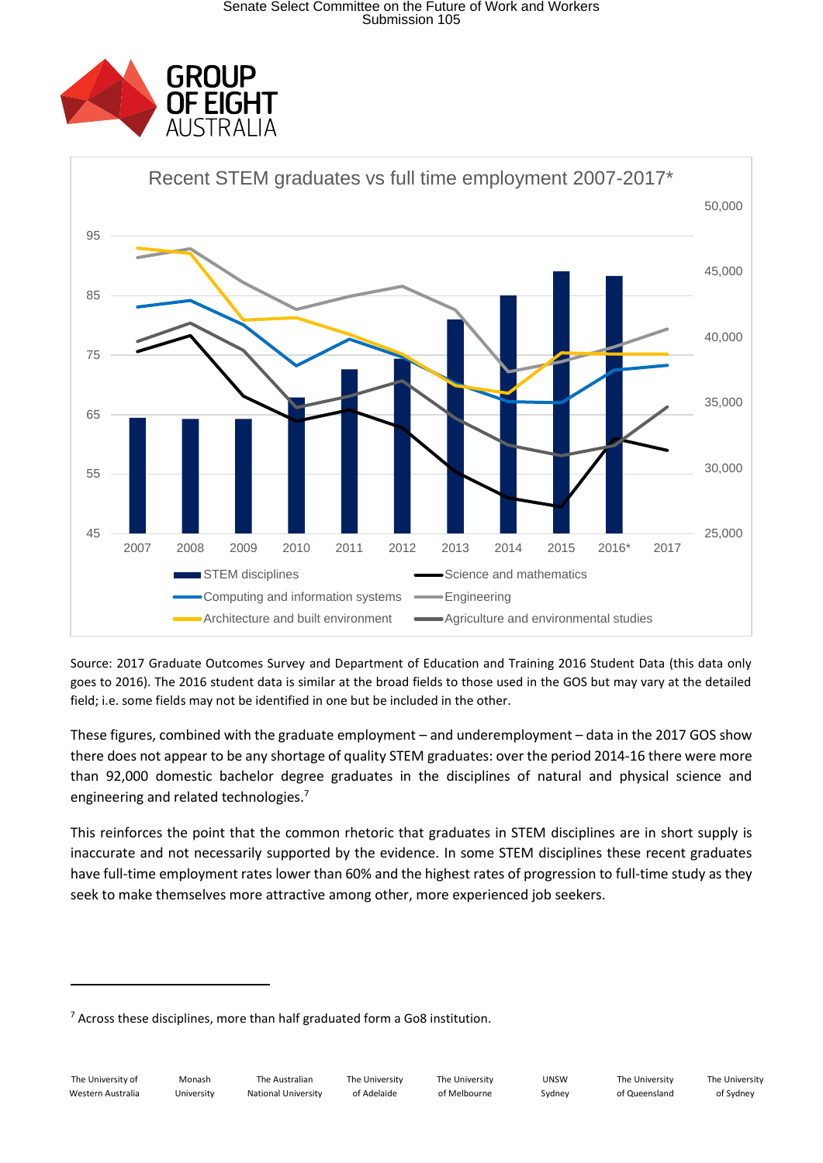



Source: 2017 Graduate Outcomes Survey and Department of Education and Training 2016 Student Data (this data only goes to 2016). The 2016 student data is similar at the broad fields to those used in the GOS but may vary at the detailed field; i.e. some fields may not be identified in one but be included in the other.

These figures, combined with the graduate employment – and underemployment – data in the 2017 GOS show there does not appear to be any shortage of quality STEM graduates: over the period 2014-16 there were more than 92,000 domestic bachelor degree graduates in the disciplines of natural and physical science and engineering and related technologies.<sup>7</sup>

This reinforces the point that the common rhetoric that graduates in STEM disciplines are in short supply is inaccurate and not necessarily supported by the evidence. In some STEM disciplines these recent graduates have full-time employment rates lower than 60% and the highest rates of progression to full-time study as they seek to make themselves more attractive among other, more experienced job seekers.

**.** 

<sup>&</sup>lt;sup>7</sup> Across these disciplines, more than half graduated form a Go8 institution.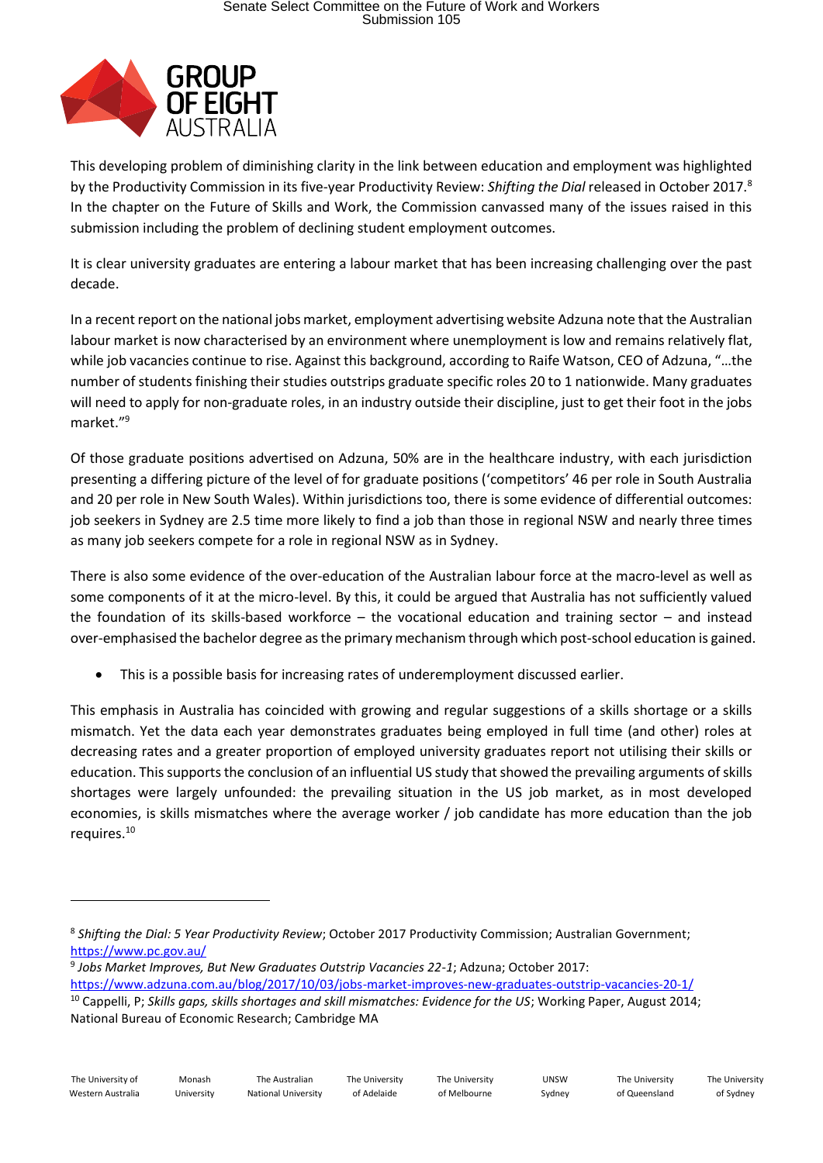

This developing problem of diminishing clarity in the link between education and employment was highlighted by the Productivity Commission in its five-year Productivity Review: *Shifting the Dial* released in October 2017. 8 In the chapter on the Future of Skills and Work, the Commission canvassed many of the issues raised in this submission including the problem of declining student employment outcomes.

It is clear university graduates are entering a labour market that has been increasing challenging over the past decade.

In a recent report on the national jobs market, employment advertising website Adzuna note that the Australian labour market is now characterised by an environment where unemployment is low and remains relatively flat, while job vacancies continue to rise. Against this background, according to Raife Watson, CEO of Adzuna, "…the number of students finishing their studies outstrips graduate specific roles 20 to 1 nationwide. Many graduates will need to apply for non-graduate roles, in an industry outside their discipline, just to get their foot in the jobs market."<sup>9</sup>

Of those graduate positions advertised on Adzuna, 50% are in the healthcare industry, with each jurisdiction presenting a differing picture of the level of for graduate positions ('competitors' 46 per role in South Australia and 20 per role in New South Wales). Within jurisdictions too, there is some evidence of differential outcomes: job seekers in Sydney are 2.5 time more likely to find a job than those in regional NSW and nearly three times as many job seekers compete for a role in regional NSW as in Sydney.

There is also some evidence of the over-education of the Australian labour force at the macro-level as well as some components of it at the micro-level. By this, it could be argued that Australia has not sufficiently valued the foundation of its skills-based workforce – the vocational education and training sector – and instead over-emphasised the bachelor degree as the primary mechanism through which post-school education is gained.

• This is a possible basis for increasing rates of underemployment discussed earlier.

This emphasis in Australia has coincided with growing and regular suggestions of a skills shortage or a skills mismatch. Yet the data each year demonstrates graduates being employed in full time (and other) roles at decreasing rates and a greater proportion of employed university graduates report not utilising their skills or education. This supports the conclusion of an influential US study that showed the prevailing arguments of skills shortages were largely unfounded: the prevailing situation in the US job market, as in most developed economies, is skills mismatches where the average worker / job candidate has more education than the job requires.<sup>10</sup>

<https://www.adzuna.com.au/blog/2017/10/03/jobs-market-improves-new-graduates-outstrip-vacancies-20-1/>

1

<sup>8</sup> *Shifting the Dial: 5 Year Productivity Review*; October 2017 Productivity Commission; Australian Government; <https://www.pc.gov.au/>

<sup>9</sup> *Jobs Market Improves, But New Graduates Outstrip Vacancies 22-1*; Adzuna; October 2017:

<sup>10</sup> Cappelli, P; *Skills gaps, skills shortages and skill mismatches: Evidence for the US*; Working Paper, August 2014; National Bureau of Economic Research; Cambridge MA

The University of Adelaide